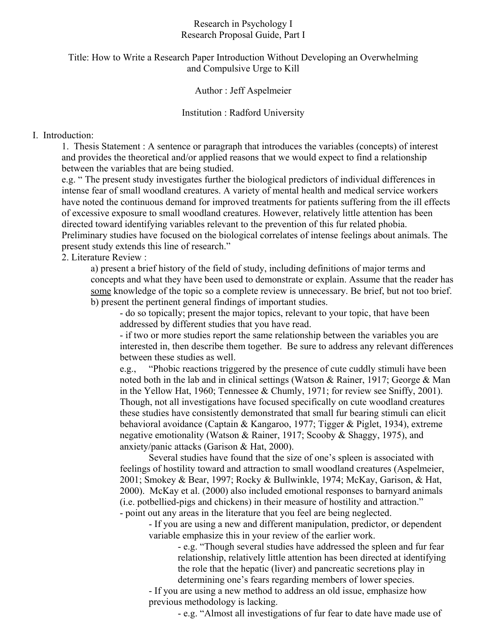### Research in Psychology I Research Proposal Guide, Part I

# Title: How to Write a Research Paper Introduction Without Developing an Overwhelming and Compulsive Urge to Kill

## Author : Jeff Aspelmeier

## Institution : Radford University

## I. Introduction:

1. Thesis Statement : A sentence or paragraph that introduces the variables (concepts) of interest and provides the theoretical and/or applied reasons that we would expect to find a relationship between the variables that are being studied.

e.g. " The present study investigates further the biological predictors of individual differences in intense fear of small woodland creatures. A variety of mental health and medical service workers have noted the continuous demand for improved treatments for patients suffering from the ill effects of excessive exposure to small woodland creatures. However, relatively little attention has been directed toward identifying variables relevant to the prevention of this fur related phobia. Preliminary studies have focused on the biological correlates of intense feelings about animals. The present study extends this line of research."

2. Literature Review :

a) present a brief history of the field of study, including definitions of major terms and concepts and what they have been used to demonstrate or explain. Assume that the reader has some knowledge of the topic so a complete review is unnecessary. Be brief, but not too brief. b) present the pertinent general findings of important studies.

- do so topically; present the major topics, relevant to your topic, that have been addressed by different studies that you have read.

- if two or more studies report the same relationship between the variables you are interested in, then describe them together. Be sure to address any relevant differences between these studies as well.

e.g., "Phobic reactions triggered by the presence of cute cuddly stimuli have been noted both in the lab and in clinical settings (Watson & Rainer, 1917; George & Man in the Yellow Hat, 1960; Tennessee & Chumly, 1971; for review see Sniffy, 2001). Though, not all investigations have focused specifically on cute woodland creatures these studies have consistently demonstrated that small fur bearing stimuli can elicit behavioral avoidance (Captain & Kangaroo, 1977; Tigger & Piglet, 1934), extreme negative emotionality (Watson & Rainer, 1917; Scooby & Shaggy, 1975), and anxiety/panic attacks (Garison & Hat, 2000).

Several studies have found that the size of one's spleen is associated with feelings of hostility toward and attraction to small woodland creatures (Aspelmeier, 2001; Smokey & Bear, 1997; Rocky & Bullwinkle, 1974; McKay, Garison, & Hat, 2000). McKay et al. (2000) also included emotional responses to barnyard animals (i.e. potbellied-pigs and chickens) in their measure of hostility and attraction." - point out any areas in the literature that you feel are being neglected.

- If you are using a new and different manipulation, predictor, or dependent variable emphasize this in your review of the earlier work.

> - e.g. "Though several studies have addressed the spleen and fur fear relationship, relatively little attention has been directed at identifying the role that the hepatic (liver) and pancreatic secretions play in determining one's fears regarding members of lower species.

- If you are using a new method to address an old issue, emphasize how previous methodology is lacking.

- e.g. "Almost all investigations of fur fear to date have made use of